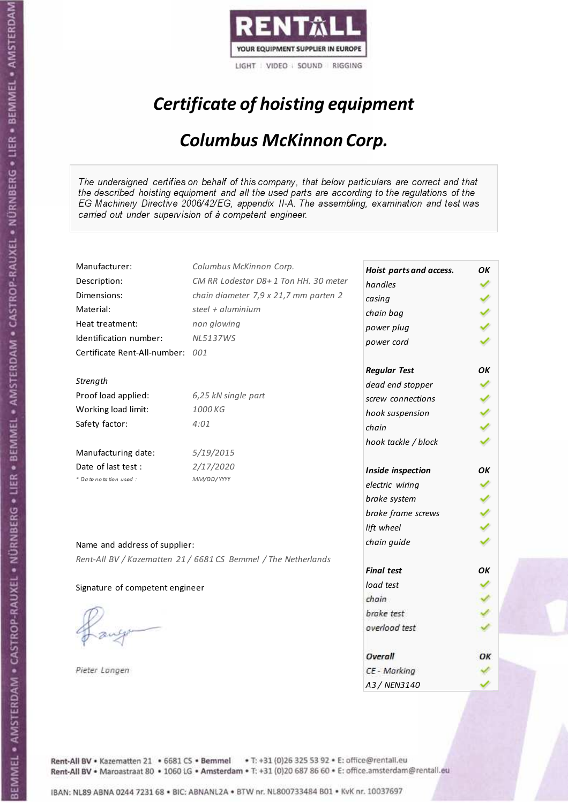

# Certificate of hoisting equipment

#### Columbus McKinnon Corp.

The undersigned certifies on behalf of this company, that below particulars are correct and that the described hoisting equipment and all the used parts are according to the regulations of the EG Machinery Directive 2006/42/EG, appendix II-A. The assembling, examination and test was carried out under supervision of à competent engineer.

| Manufacturer:                    | Columbus McKinnon Corp.                                        | Hoist parts and access. | OΚ |
|----------------------------------|----------------------------------------------------------------|-------------------------|----|
| Description:                     | CM RR Lodestar D8+1 Ton HH. 30 meter                           | handles                 | ✓  |
| Dimensions:                      | chain diameter 7,9 x 21,7 mm parten 2                          | casing                  |    |
| Material:                        | steel $+$ aluminium                                            | chain bag               |    |
| Heat treatment:                  | non glowing                                                    | power plug              |    |
| Identification number:           | <b>NL5137WS</b>                                                | power cord              |    |
| Certificate Rent-All-number: 001 |                                                                |                         |    |
|                                  |                                                                | <b>Regular Test</b>     | OK |
| Strength                         |                                                                | dead end stopper        |    |
| Proof load applied:              | 6,25 kN single part                                            | screw connections       |    |
| Working load limit:              | 1000 KG                                                        | hook suspension         | ✔  |
| Safety factor:                   | 4:01                                                           | chain                   |    |
|                                  |                                                                | hook tackle / block     |    |
| Manufacturing date:              | 5/19/2015                                                      |                         |    |
| Date of last test :              | 2/17/2020                                                      | Inside inspection       | ΟK |
| * Date notation used :           | MM/DD/YYYY                                                     | electric wiring         |    |
|                                  |                                                                | brake system            |    |
|                                  |                                                                | brake frame screws      |    |
|                                  |                                                                | lift wheel              |    |
| Name and address of supplier:    |                                                                | chain guide             |    |
|                                  | Rent-All BV / Kazematten 21 / 6681 CS Bemmel / The Netherlands |                         |    |
|                                  |                                                                | <b>Final test</b>       | ОΚ |
| Signature of competent engineer  |                                                                | load test               |    |
|                                  |                                                                | chain                   |    |
|                                  |                                                                | brake test              |    |
|                                  |                                                                | overload test           |    |
|                                  |                                                                | Overall                 | ОК |
| Pieter Langen                    |                                                                | CE - Marking            |    |
|                                  |                                                                | A3 / NEN3140            |    |
|                                  |                                                                |                         |    |

Rent-All BV . Kazematten 21 . 6681 CS . Bemmel . T: +31 (0)26 325 53 92 . E: office@rentall.eu Rent-All BV · Maroastraat 80 · 1060 LG · Amsterdam · T: +31 (0)20 687 86 60 · E: office.amsterdam@rentall.eu

IBAN: NL89 ABNA 0244 7231 68 . BIC: ABNANL2A . BTW nr. NL800733484 B01 . KvK nr. 10037697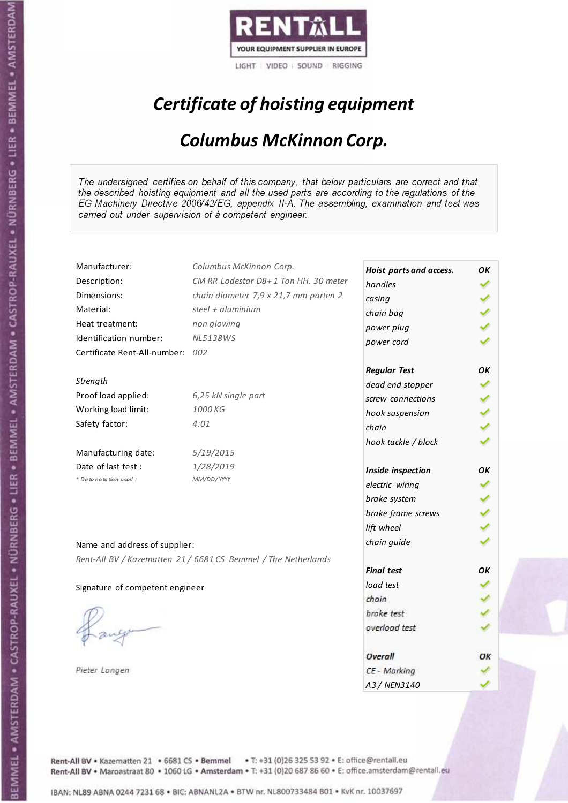

# Certificate of hoisting equipment

#### Columbus McKinnon Corp.

The undersigned certifies on behalf of this company, that below particulars are correct and that the described hoisting equipment and all the used parts are according to the regulations of the EG Machinery Directive 2006/42/EG, appendix II-A. The assembling, examination and test was carried out under supervision of à competent engineer.

| Manufacturer:                    | Columbus McKinnon Corp.                                        | Hoist parts and access. | OΚ |
|----------------------------------|----------------------------------------------------------------|-------------------------|----|
| Description:                     | CM RR Lodestar D8+1 Ton HH. 30 meter                           | handles                 | ✓  |
| Dimensions:                      | chain diameter 7,9 x 21,7 mm parten 2                          | casing                  |    |
| Material:                        | steel + aluminium                                              | chain bag               |    |
| Heat treatment:                  | non glowing                                                    | power plug              |    |
| Identification number:           | <b>NL5138WS</b>                                                | power cord              |    |
| Certificate Rent-All-number: 002 |                                                                |                         |    |
|                                  |                                                                | <b>Regular Test</b>     | ОΚ |
| Strength                         |                                                                | dead end stopper        |    |
| Proof load applied:              | 6,25 kN single part                                            | screw connections       | ✓  |
| Working load limit:              | 1000 KG                                                        | hook suspension         | ℐ  |
| Safety factor:                   | 4:01                                                           | chain                   |    |
|                                  |                                                                | hook tackle / block     |    |
| Manufacturing date:              | 5/19/2015                                                      |                         |    |
| Date of last test :              | 1/28/2019                                                      | Inside inspection       | ОΚ |
| * Date notation used :           | MM/DD/YYYY                                                     | electric wiring         |    |
|                                  |                                                                | brake system            |    |
|                                  |                                                                | brake frame screws      |    |
|                                  |                                                                | lift wheel              |    |
| Name and address of supplier:    |                                                                | chain guide             |    |
|                                  | Rent-All BV / Kazematten 21 / 6681 CS Bemmel / The Netherlands |                         |    |
|                                  |                                                                | <b>Final test</b>       | ОΚ |
| Signature of competent engineer  |                                                                | load test               |    |
|                                  |                                                                | chain                   |    |
|                                  |                                                                | brake test              |    |
|                                  |                                                                | overload test           |    |
|                                  |                                                                | Overall                 | OK |
| Pieter Langen                    |                                                                | CE - Marking            |    |
|                                  |                                                                | A3 / NEN3140            |    |
|                                  |                                                                |                         |    |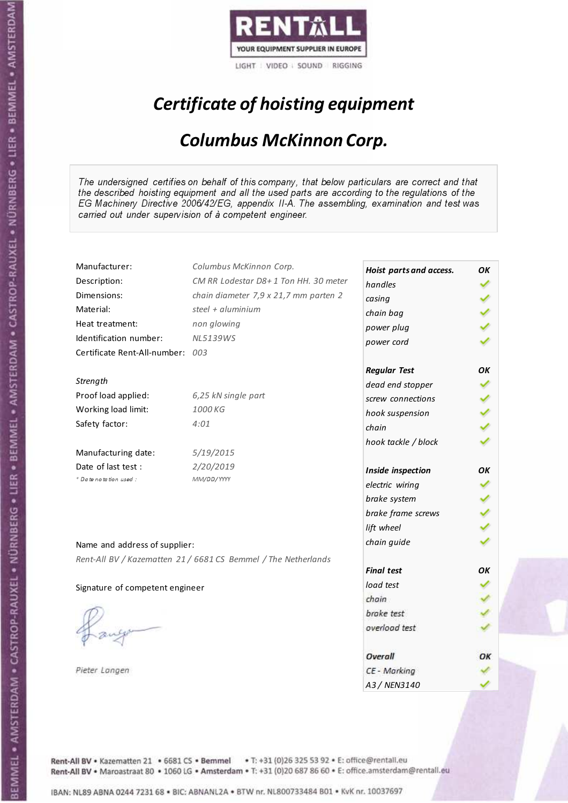

# Certificate of hoisting equipment

#### Columbus McKinnon Corp.

The undersigned certifies on behalf of this company, that below particulars are correct and that the described hoisting equipment and all the used parts are according to the regulations of the EG Machinery Directive 2006/42/EG, appendix II-A. The assembling, examination and test was carried out under supervision of à competent engineer.

| Manufacturer:                    | Columbus McKinnon Corp.                                        | Hoist parts and access. | OΚ |
|----------------------------------|----------------------------------------------------------------|-------------------------|----|
| Description:                     | CM RR Lodestar D8+1 Ton HH. 30 meter                           | handles                 | ✓  |
| Dimensions:                      | chain diameter 7,9 x 21,7 mm parten 2                          | casing                  |    |
| Material:                        | steel + aluminium                                              | chain bag               |    |
| Heat treatment:                  | non glowing                                                    | power plug              |    |
| Identification number:           | <b>NL5139WS</b>                                                | power cord              |    |
| Certificate Rent-All-number: 003 |                                                                |                         |    |
|                                  |                                                                | <b>Regular Test</b>     | OK |
| Strength                         |                                                                | dead end stopper        |    |
| Proof load applied:              | 6,25 kN single part                                            | screw connections       |    |
| Working load limit:              | 1000 KG                                                        | hook suspension         | ✔  |
| Safety factor:                   | 4:01                                                           | chain                   |    |
|                                  |                                                                | hook tackle / block     |    |
| Manufacturing date:              | 5/19/2015                                                      |                         |    |
| Date of last test :              | 2/20/2019                                                      | Inside inspection       | ОΚ |
| + Date notation used:            | MM/DD/YYYY                                                     | electric wiring         |    |
|                                  |                                                                | brake system            |    |
|                                  |                                                                | brake frame screws      |    |
|                                  |                                                                | lift wheel              |    |
| Name and address of supplier:    |                                                                | chain guide             |    |
|                                  | Rent-All BV / Kazematten 21 / 6681 CS Bemmel / The Netherlands |                         |    |
|                                  |                                                                | <b>Final test</b>       | ОΚ |
| Signature of competent engineer  |                                                                | load test               |    |
|                                  |                                                                | chain                   |    |
|                                  |                                                                | brake test              |    |
|                                  |                                                                | overload test           |    |
|                                  |                                                                | Overall                 | OK |
| Pieter Langen                    |                                                                | CE - Marking            |    |
|                                  |                                                                | A3 / NEN3140            |    |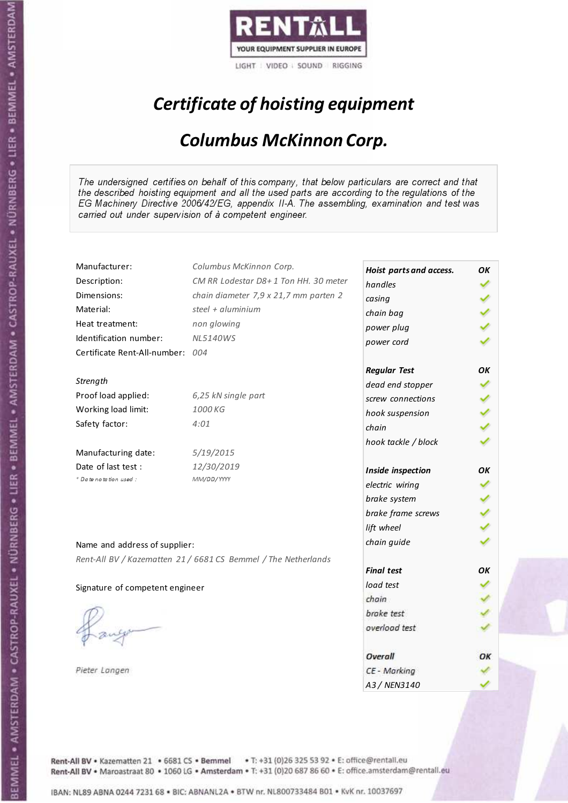

# Certificate of hoisting equipment

#### Columbus McKinnon Corp.

The undersigned certifies on behalf of this company, that below particulars are correct and that the described hoisting equipment and all the used parts are according to the regulations of the EG Machinery Directive 2006/42/EG, appendix II-A. The assembling, examination and test was carried out under supervision of à competent engineer.

| Manufacturer:                    | Columbus McKinnon Corp.                                        | Hoist parts and access. | OΚ |
|----------------------------------|----------------------------------------------------------------|-------------------------|----|
| Description:                     | CM RR Lodestar D8+1 Ton HH. 30 meter                           | handles                 | ✔  |
| Dimensions:                      | chain diameter 7,9 x 21,7 mm parten 2                          | casing                  |    |
| Material:                        | steel + aluminium                                              | chain bag               |    |
| Heat treatment:                  | non glowing                                                    | power plug              |    |
| Identification number:           | <b>NL5140WS</b>                                                | power cord              |    |
| Certificate Rent-All-number: 004 |                                                                |                         |    |
|                                  |                                                                | <b>Regular Test</b>     | ΟK |
| Strength                         |                                                                | dead end stopper        |    |
| Proof load applied:              | 6,25 kN single part                                            | screw connections       |    |
| Working load limit:              | 1000 KG                                                        | hook suspension         |    |
| Safety factor:                   | 4:01                                                           | chain                   |    |
|                                  |                                                                | hook tackle / block     |    |
| Manufacturing date:              | 5/19/2015                                                      |                         |    |
| Date of last test :              | 12/30/2019                                                     | Inside inspection       | ΟK |
| * Date notation used :           | MM/DD/YYYY                                                     | electric wiring         |    |
|                                  |                                                                | brake system            |    |
|                                  |                                                                | brake frame screws      |    |
|                                  |                                                                | lift wheel              |    |
| Name and address of supplier:    |                                                                | chain guide             |    |
|                                  | Rent-All BV / Kazematten 21 / 6681 CS Bemmel / The Netherlands |                         |    |
|                                  |                                                                | <b>Final test</b>       | ОΚ |
| Signature of competent engineer  |                                                                | load test               |    |
|                                  |                                                                | chain                   |    |
|                                  |                                                                | brake test              |    |
|                                  |                                                                | overload test           |    |
|                                  |                                                                | Overall                 | ОК |
| Pieter Langen                    |                                                                | CE - Marking            |    |
|                                  |                                                                | A3 / NEN3140            |    |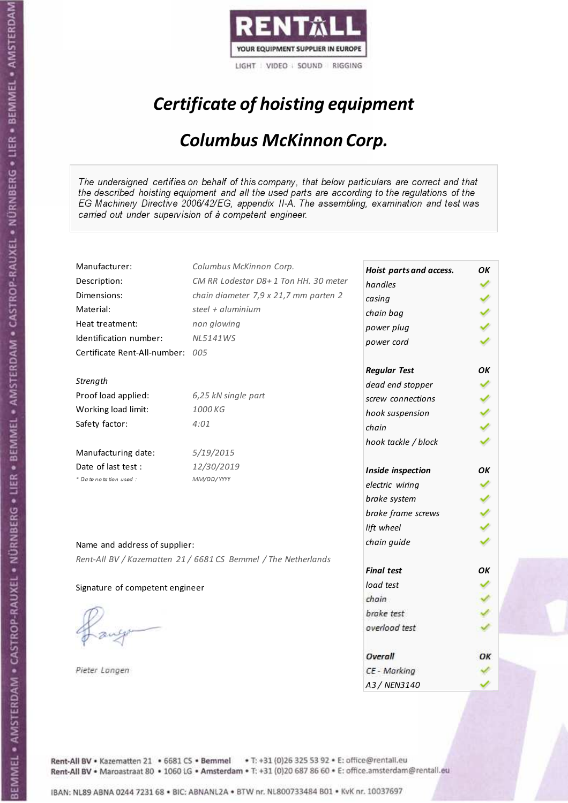

# Certificate of hoisting equipment

#### Columbus McKinnon Corp.

The undersigned certifies on behalf of this company, that below particulars are correct and that the described hoisting equipment and all the used parts are according to the regulations of the EG Machinery Directive 2006/42/EG, appendix II-A. The assembling, examination and test was carried out under supervision of à competent engineer.

| Manufacturer:                    | Columbus McKinnon Corp.                                        | Hoist parts and access. | OΚ |
|----------------------------------|----------------------------------------------------------------|-------------------------|----|
| Description:                     | CM RR Lodestar D8+1 Ton HH. 30 meter                           | handles                 | ✓  |
| Dimensions:                      | chain diameter 7,9 x 21,7 mm parten 2                          | casing                  |    |
| Material:                        | steel + aluminium                                              | chain bag               |    |
| Heat treatment:                  | non glowing                                                    | power plug              |    |
| Identification number:           | <b>NL5141WS</b>                                                | power cord              |    |
| Certificate Rent-All-number: 005 |                                                                |                         |    |
|                                  |                                                                | <b>Regular Test</b>     | ΟK |
| Strength                         |                                                                | dead end stopper        |    |
| Proof load applied:              | 6,25 kN single part                                            | screw connections       |    |
| Working load limit:              | 1000 KG                                                        | hook suspension         | ✔  |
| Safety factor:                   | 4:01                                                           | chain                   |    |
|                                  |                                                                | hook tackle / block     |    |
| Manufacturing date:              | 5/19/2015                                                      |                         |    |
| Date of last test :              | 12/30/2019                                                     | Inside inspection       | ΟK |
| + Date notation used :           | MM/DD/YYYY                                                     | electric wiring         | ↙  |
|                                  |                                                                | brake system            | ✔  |
|                                  |                                                                | brake frame screws      |    |
|                                  |                                                                | lift wheel              |    |
| Name and address of supplier:    |                                                                | chain guide             |    |
|                                  | Rent-All BV / Kazematten 21 / 6681 CS Bemmel / The Netherlands |                         |    |
|                                  |                                                                | <b>Final test</b>       | ОΚ |
| Signature of competent engineer  |                                                                | load test               |    |
|                                  |                                                                | chain                   |    |
|                                  |                                                                | brake test              |    |
|                                  |                                                                | overload test           |    |
|                                  |                                                                | Overall                 | OK |
| Pieter Langen                    |                                                                | CE - Marking            |    |
|                                  |                                                                | A3 / NEN3140            |    |

Rent-All BV . Kazematten 21 . 6681 CS . Bemmel . T: +31 (0)26 325 53 92 . E: office@rentall.eu Rent-All BV · Maroastraat 80 · 1060 LG · Amsterdam · T: +31 (0)20 687 86 60 · E: office.amsterdam@rentall.eu

Stre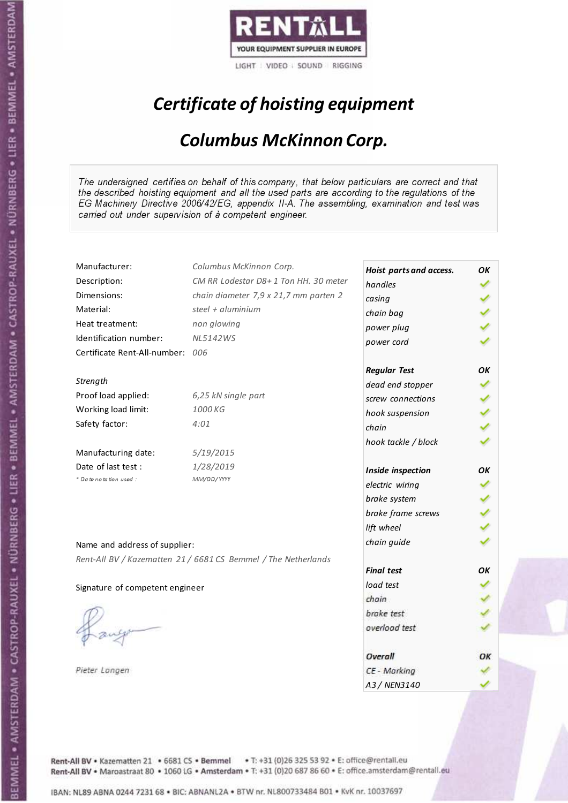

# Certificate of hoisting equipment

#### Columbus McKinnon Corp.

The undersigned certifies on behalf of this company, that below particulars are correct and that the described hoisting equipment and all the used parts are according to the regulations of the EG Machinery Directive 2006/42/EG, appendix II-A. The assembling, examination and test was carried out under supervision of à competent engineer.

| Manufacturer:                    | Columbus McKinnon Corp.                                        | Hoist parts and access. | OΚ |
|----------------------------------|----------------------------------------------------------------|-------------------------|----|
| Description:                     | CM RR Lodestar D8+1 Ton HH. 30 meter                           | handles                 | ✓  |
| Dimensions:                      | chain diameter 7,9 x 21,7 mm parten 2                          | casing                  |    |
| Material:                        | steel $+$ aluminium                                            | chain bag               |    |
| Heat treatment:                  | non glowing                                                    | power plug              |    |
| Identification number:           | <b>NL5142WS</b>                                                | power cord              |    |
| Certificate Rent-All-number: 006 |                                                                |                         |    |
|                                  |                                                                | <b>Regular Test</b>     | OK |
| Strength                         |                                                                | dead end stopper        |    |
| Proof load applied:              | 6,25 kN single part                                            | screw connections       |    |
| Working load limit:              | 1000 KG                                                        | hook suspension         | ✔  |
| Safety factor:                   | 4:01                                                           | chain                   |    |
|                                  |                                                                | hook tackle / block     |    |
| Manufacturing date:              | 5/19/2015                                                      |                         |    |
| Date of last test :              | 1/28/2019                                                      | Inside inspection       | ΟK |
| * Date notation used :           | MM/DD/YYYY                                                     | electric wiring         |    |
|                                  |                                                                | brake system            |    |
|                                  |                                                                | brake frame screws      |    |
|                                  |                                                                | lift wheel              |    |
| Name and address of supplier:    |                                                                | chain guide             |    |
|                                  | Rent-All BV / Kazematten 21 / 6681 CS Bemmel / The Netherlands |                         |    |
|                                  |                                                                | <b>Final test</b>       | ОΚ |
| Signature of competent engineer  |                                                                | load test               |    |
|                                  |                                                                | chain                   |    |
|                                  |                                                                | brake test              |    |
|                                  |                                                                | overload test           |    |
|                                  |                                                                | Overall                 | ОК |
| Pieter Langen                    |                                                                | CE - Marking            |    |
|                                  |                                                                | A3 / NEN3140            |    |
|                                  |                                                                |                         |    |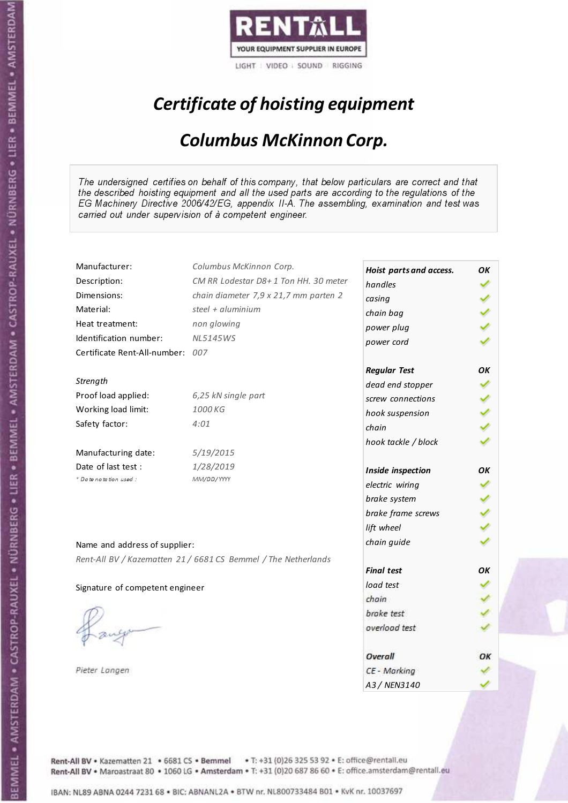

# Certificate of hoisting equipment

#### Columbus McKinnon Corp.

The undersigned certifies on behalf of this company, that below particulars are correct and that the described hoisting equipment and all the used parts are according to the regulations of the EG Machinery Directive 2006/42/EG, appendix II-A. The assembling, examination and test was carried out under supervision of à competent engineer.

| Manufacturer:                    | Columbus McKinnon Corp.                                        | Hoist parts and access. | OΚ |
|----------------------------------|----------------------------------------------------------------|-------------------------|----|
| Description:                     | CM RR Lodestar D8+1 Ton HH. 30 meter                           | handles                 | ✓  |
| Dimensions:                      | chain diameter 7,9 x 21,7 mm parten 2                          | casing                  |    |
| Material:                        | steel + aluminium                                              | chain bag               |    |
| Heat treatment:                  | non glowing                                                    | power plug              |    |
| Identification number:           | <b>NL5145WS</b>                                                | power cord              |    |
| Certificate Rent-All-number: 007 |                                                                |                         |    |
|                                  |                                                                | <b>Regular Test</b>     | ОΚ |
| Strength                         |                                                                | dead end stopper        |    |
| Proof load applied:              | 6,25 kN single part                                            | screw connections       | ✓  |
| Working load limit:              | 1000 KG                                                        | hook suspension         | ℐ  |
| Safety factor:                   | 4:01                                                           | chain                   |    |
|                                  |                                                                | hook tackle / block     |    |
| Manufacturing date:              | 5/19/2015                                                      |                         |    |
| Date of last test :              | 1/28/2019                                                      | Inside inspection       | ОΚ |
| * Date notation used :           | MM/DD/YYYY                                                     | electric wiring         |    |
|                                  |                                                                | brake system            |    |
|                                  |                                                                | brake frame screws      |    |
|                                  |                                                                | lift wheel              |    |
| Name and address of supplier:    |                                                                | chain guide             |    |
|                                  | Rent-All BV / Kazematten 21 / 6681 CS Bemmel / The Netherlands |                         |    |
|                                  |                                                                | <b>Final test</b>       | ОΚ |
| Signature of competent engineer  |                                                                | load test               |    |
|                                  |                                                                | chain                   |    |
|                                  |                                                                | brake test              |    |
|                                  |                                                                | overload test           |    |
|                                  |                                                                | Overall                 | OK |
| Pieter Langen                    |                                                                | CE - Marking            |    |
|                                  |                                                                | A3 / NEN3140            |    |
|                                  |                                                                |                         |    |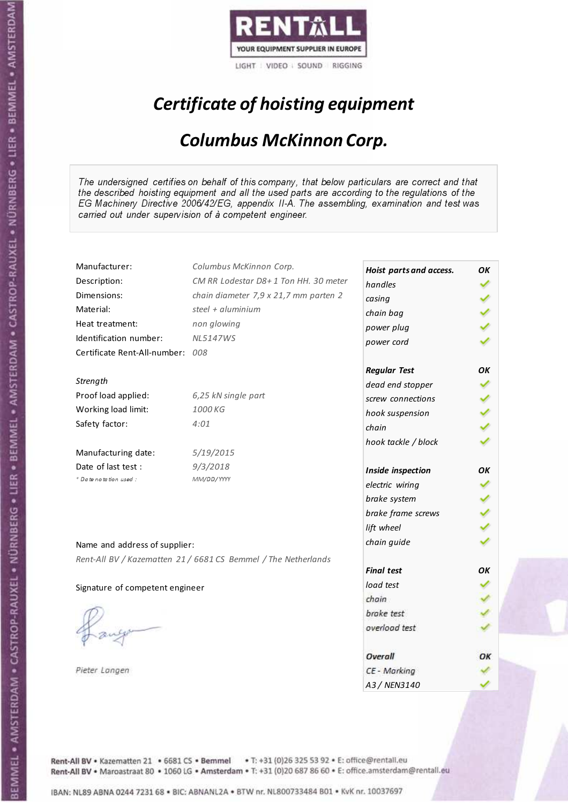

# Certificate of hoisting equipment

#### Columbus McKinnon Corp.

The undersigned certifies on behalf of this company, that below particulars are correct and that the described hoisting equipment and all the used parts are according to the regulations of the EG Machinery Directive 2006/42/EG, appendix II-A. The assembling, examination and test was carried out under supervision of à competent engineer.

| Manufacturer:                    | Columbus McKinnon Corp.                                        | Hoist parts and access. | OΚ |
|----------------------------------|----------------------------------------------------------------|-------------------------|----|
| Description:                     | CM RR Lodestar D8+1 Ton HH. 30 meter                           | handles                 | ✓  |
| Dimensions:                      | chain diameter 7,9 x 21,7 mm parten 2                          | casing                  |    |
| Material:                        | steel + aluminium                                              | chain bag               |    |
| Heat treatment:                  | non glowing                                                    | power plug              |    |
| Identification number:           | <b>NL5147WS</b>                                                | power cord              |    |
| Certificate Rent-All-number: 008 |                                                                |                         |    |
|                                  |                                                                | <b>Regular Test</b>     | ΟK |
| Strength                         |                                                                | dead end stopper        |    |
| Proof load applied:              | 6,25 kN single part                                            | screw connections       |    |
| Working load limit:              | 1000 KG                                                        | hook suspension         | ✔  |
| Safety factor:                   | 4:01                                                           | chain                   |    |
|                                  |                                                                | hook tackle / block     |    |
| Manufacturing date:              | 5/19/2015                                                      |                         |    |
| Date of last test :              | 9/3/2018                                                       | Inside inspection       | ОΚ |
| + Date notation used:            | MM/DD/YYYY                                                     | electric wiring         |    |
|                                  |                                                                | brake system            |    |
|                                  |                                                                | brake frame screws      |    |
|                                  |                                                                | lift wheel              |    |
| Name and address of supplier:    |                                                                | chain guide             |    |
|                                  | Rent-All BV / Kazematten 21 / 6681 CS Bemmel / The Netherlands |                         |    |
|                                  |                                                                | <b>Final test</b>       | OK |
| Signature of competent engineer  |                                                                | load test               |    |
|                                  |                                                                | chain                   |    |
|                                  |                                                                | brake test              |    |
|                                  |                                                                | overload test           |    |
|                                  |                                                                | Overall                 | ОК |
| Pieter Langen                    |                                                                | CE - Marking            |    |
|                                  |                                                                | A3 / NEN3140            |    |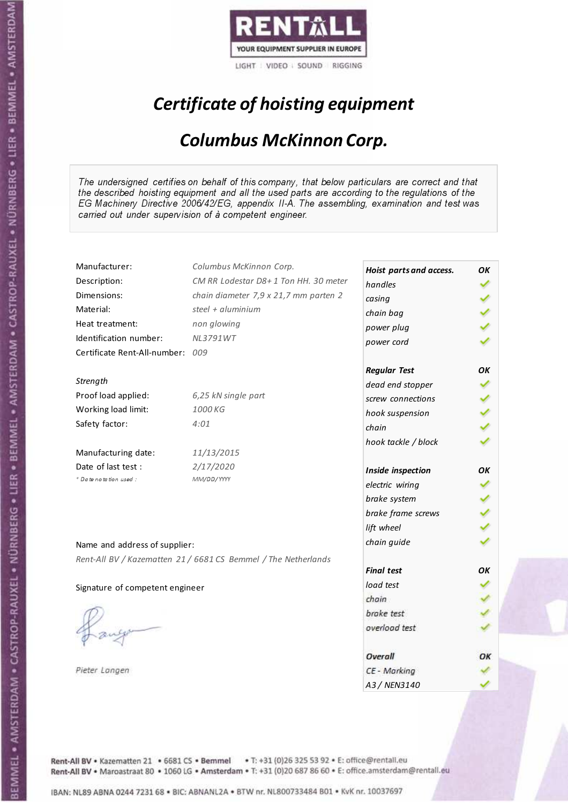

# Certificate of hoisting equipment

#### Columbus McKinnon Corp.

The undersigned certifies on behalf of this company, that below particulars are correct and that the described hoisting equipment and all the used parts are according to the regulations of the EG Machinery Directive 2006/42/EG, appendix II-A. The assembling, examination and test was carried out under supervision of à competent engineer.

| Manufacturer:                    | Columbus McKinnon Corp.                                        | Hoist parts and access. | OΚ |
|----------------------------------|----------------------------------------------------------------|-------------------------|----|
| Description:                     | CM RR Lodestar D8+1 Ton HH. 30 meter                           | handles                 | ✓  |
| Dimensions:                      | chain diameter 7,9 x 21,7 mm parten 2                          | casing                  |    |
| Material:                        | steel + aluminium                                              | chain bag               |    |
| Heat treatment:                  | non glowing                                                    | power plug              |    |
| Identification number:           | <b>NL3791WT</b>                                                | power cord              |    |
| Certificate Rent-All-number: 009 |                                                                |                         |    |
|                                  |                                                                | <b>Regular Test</b>     | ΟK |
| Strength                         |                                                                | dead end stopper        |    |
| Proof load applied:              | 6,25 kN single part                                            | screw connections       |    |
| Working load limit:              | 1000 KG                                                        | hook suspension         | ✔  |
| Safety factor:                   | 4:01                                                           | chain                   |    |
|                                  |                                                                | hook tackle / block     |    |
| Manufacturing date:              | 11/13/2015                                                     |                         |    |
| Date of last test :              | 2/17/2020                                                      | Inside inspection       | ОΚ |
| + Date notation used:            | MM/DD/YYYY                                                     | electric wiring         |    |
|                                  |                                                                | brake system            |    |
|                                  |                                                                | brake frame screws      |    |
|                                  |                                                                | lift wheel              |    |
| Name and address of supplier:    |                                                                | chain guide             |    |
|                                  | Rent-All BV / Kazematten 21 / 6681 CS Bemmel / The Netherlands |                         |    |
|                                  |                                                                | <b>Final test</b>       | OK |
| Signature of competent engineer  |                                                                | load test               |    |
|                                  |                                                                | chain                   |    |
|                                  |                                                                | brake test              |    |
|                                  |                                                                | overload test           |    |
|                                  |                                                                | Overall                 | ОК |
| Pieter Langen                    |                                                                | CE - Marking            |    |
|                                  |                                                                | A3 / NEN3140            |    |

Rent-All BV . Kazematten 21 . 6681 CS . Bemmel . T: +31 (0)26 325 53 92 . E: office@rentall.eu Rent-All BV · Maroastraat 80 · 1060 LG · Amsterdam · T: +31 (0)20 687 86 60 · E: office.amsterdam@rentall.eu

IBAN: NL89 ABNA 0244 7231 68 . BIC: ABNANL2A . BTW nr. NL800733484 B01 . KvK nr. 10037697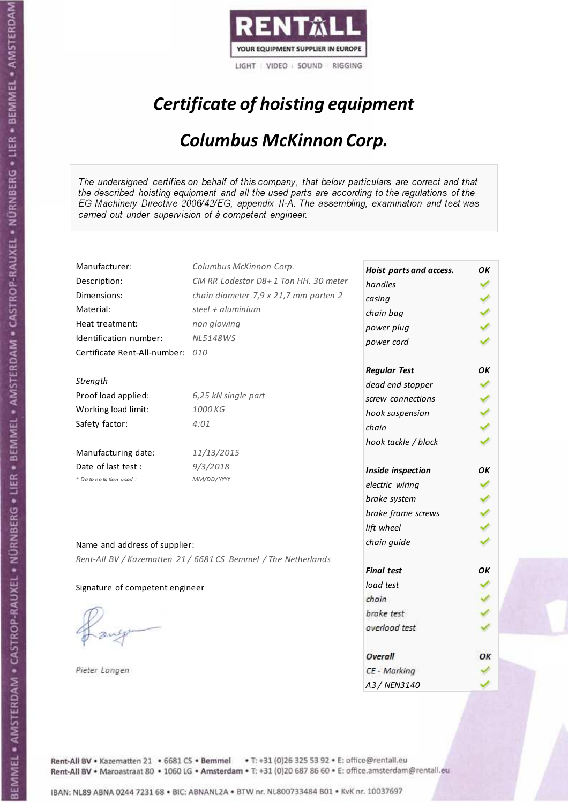

# Certificate of hoisting equipment

#### Columbus McKinnon Corp.

The undersigned certifies on behalf of this company, that below particulars are correct and that the described hoisting equipment and all the used parts are according to the regulations of the EG Machinery Directive 2006/42/EG, appendix II-A. The assembling, examination and test was carried out under supervision of à competent engineer.

| Manufacturer:                    | Columbus McKinnon Corp.                                        | Hoist parts and access. | OΚ |
|----------------------------------|----------------------------------------------------------------|-------------------------|----|
| Description:                     | CM RR Lodestar D8+1 Ton HH. 30 meter                           | handles                 | ✔  |
| Dimensions:                      | chain diameter 7,9 x 21,7 mm parten 2                          | casing                  |    |
| Material:                        | steel + aluminium                                              | chain bag               |    |
| Heat treatment:                  | non glowing                                                    | power plug              |    |
| Identification number:           | <b>NL5148WS</b>                                                | power cord              |    |
| Certificate Rent-All-number: 010 |                                                                |                         |    |
|                                  |                                                                | <b>Regular Test</b>     | ΟK |
| Strength                         |                                                                | dead end stopper        |    |
| Proof load applied:              | 6,25 kN single part                                            | screw connections       |    |
| Working load limit:              | 1000 KG                                                        | hook suspension         | ✔  |
| Safety factor:                   | 4:01                                                           | chain                   |    |
|                                  |                                                                | hook tackle / block     |    |
| Manufacturing date:              | 11/13/2015                                                     |                         |    |
| Date of last test :              | 9/3/2018                                                       | Inside inspection       | ΟK |
| * Date notation used :           | MM/DD/YYYY                                                     | electric wiring         |    |
|                                  |                                                                | brake system            |    |
|                                  |                                                                | brake frame screws      |    |
|                                  |                                                                | lift wheel              |    |
| Name and address of supplier:    |                                                                | chain guide             |    |
|                                  | Rent-All BV / Kazematten 21 / 6681 CS Bemmel / The Netherlands |                         |    |
|                                  |                                                                | <b>Final test</b>       | ОΚ |
| Signature of competent engineer  |                                                                | load test               |    |
|                                  |                                                                | chain                   |    |
|                                  |                                                                | brake test              |    |
|                                  |                                                                | overload test           |    |
|                                  |                                                                | Overall                 | ОК |
| Pieter Langen                    |                                                                | CE - Marking            |    |
|                                  |                                                                | A3 / NEN3140            |    |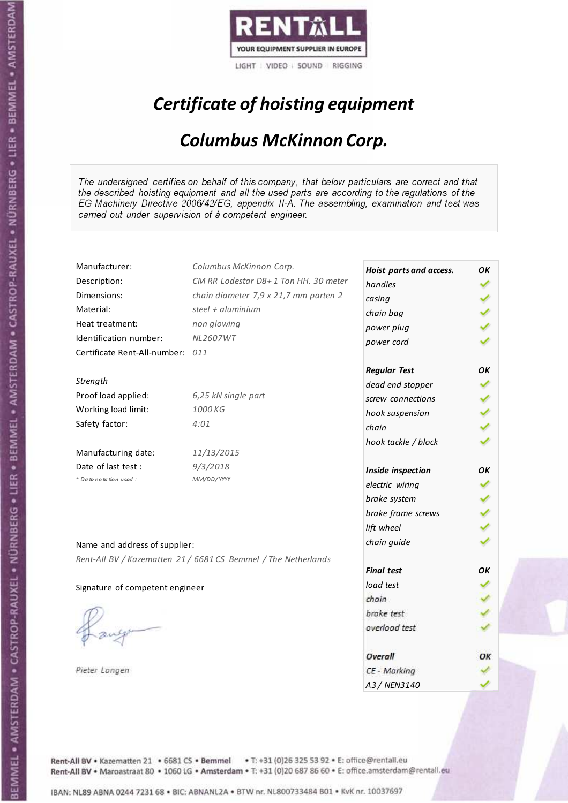

# Certificate of hoisting equipment

#### Columbus McKinnon Corp.

The undersigned certifies on behalf of this company, that below particulars are correct and that the described hoisting equipment and all the used parts are according to the regulations of the EG Machinery Directive 2006/42/EG, appendix II-A. The assembling, examination and test was carried out under supervision of à competent engineer.

| Manufacturer:                    | Columbus McKinnon Corp.                                        | Hoist parts and access. | ОΚ |
|----------------------------------|----------------------------------------------------------------|-------------------------|----|
| Description:                     | CM RR Lodestar D8+1 Ton HH. 30 meter                           | handles                 | ✓  |
| Dimensions:                      | chain diameter 7,9 x 21,7 mm parten 2                          | casing                  |    |
| Material:                        | steel + aluminium                                              | chain bag               |    |
| Heat treatment:                  | non glowing                                                    | power plug              |    |
| Identification number:           | <b>NL2607WT</b>                                                | power cord              |    |
| Certificate Rent-All-number: 011 |                                                                |                         |    |
|                                  |                                                                | <b>Regular Test</b>     | ΟK |
| Strength                         |                                                                | dead end stopper        |    |
| Proof load applied:              | 6,25 kN single part                                            | screw connections       |    |
| Working load limit:              | 1000 KG                                                        | hook suspension         | ✔  |
| Safety factor:                   | 4:01                                                           | chain                   |    |
|                                  |                                                                | hook tackle / block     |    |
| Manufacturing date:              | 11/13/2015                                                     |                         |    |
| Date of last test :              | 9/3/2018                                                       | Inside inspection       | ОК |
| * Date notation used :           | MM/DD/YYYY                                                     | electric wiring         |    |
|                                  |                                                                | brake system            |    |
|                                  |                                                                | brake frame screws      |    |
|                                  |                                                                | lift wheel              |    |
| Name and address of supplier:    |                                                                | chain guide             |    |
|                                  | Rent-All BV / Kazematten 21 / 6681 CS Bemmel / The Netherlands |                         |    |
|                                  |                                                                | <b>Final test</b>       | ΟK |
| Signature of competent engineer  |                                                                | load test               |    |
|                                  |                                                                | chain                   |    |
|                                  |                                                                | brake test              |    |
|                                  |                                                                | overload test           |    |
|                                  |                                                                | Overall                 | ОК |
| Pieter Langen                    |                                                                | CE - Marking            |    |
|                                  |                                                                | A3 / NEN3140            |    |

Rent-All BV . Kazematten 21 . 6681 CS . Bemmel . T: +31 (0)26 325 53 92 . E: office@rentall.eu Rent-All BV · Maroastraat 80 · 1060 LG · Amsterdam · T: +31 (0)20 687 86 60 · E: office.amsterdam@rentall.eu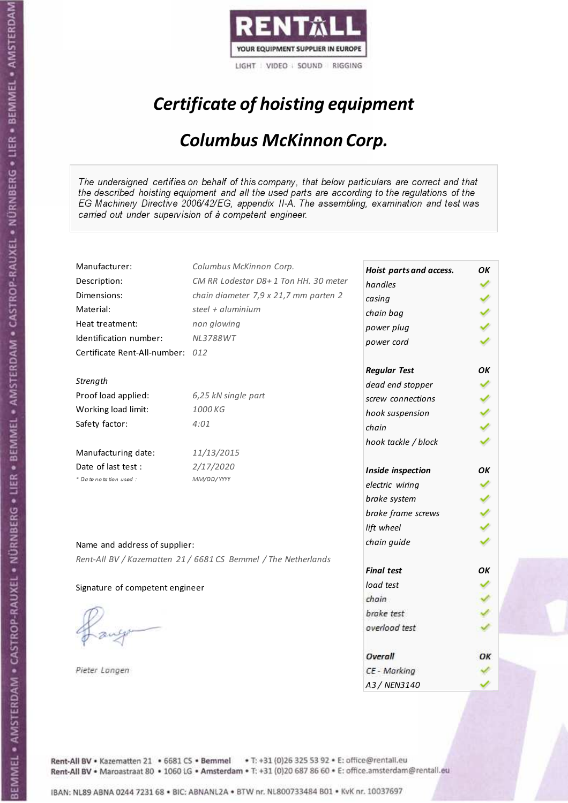

# Certificate of hoisting equipment

#### Columbus McKinnon Corp.

The undersigned certifies on behalf of this company, that below particulars are correct and that the described hoisting equipment and all the used parts are according to the regulations of the EG Machinery Directive 2006/42/EG, appendix II-A. The assembling, examination and test was carried out under supervision of à competent engineer.

| Manufacturer:                    | Columbus McKinnon Corp.                                        | Hoist parts and access. | OΚ |
|----------------------------------|----------------------------------------------------------------|-------------------------|----|
| Description:                     | CM RR Lodestar D8+1 Ton HH. 30 meter                           | handles                 | ✓  |
| Dimensions:                      | chain diameter 7,9 x 21,7 mm parten 2                          | casing                  |    |
| Material:                        | steel + aluminium                                              | chain bag               |    |
| Heat treatment:                  | non glowing                                                    | power plug              |    |
| Identification number:           | <b>NL3788WT</b>                                                | power cord              |    |
| Certificate Rent-All-number: 012 |                                                                |                         |    |
|                                  |                                                                | <b>Regular Test</b>     | ΟK |
| Strength                         |                                                                | dead end stopper        |    |
| Proof load applied:              | 6,25 kN single part                                            | screw connections       |    |
| Working load limit:              | 1000 KG                                                        | hook suspension         |    |
| Safety factor:                   | 4:01                                                           | chain                   |    |
|                                  |                                                                | hook tackle / block     |    |
| Manufacturing date:              | 11/13/2015                                                     |                         |    |
| Date of last test :              | 2/17/2020                                                      | Inside inspection       | ΟK |
| + Date notation used:            | MM/DD/YYYY                                                     | electric wiring         |    |
|                                  |                                                                | brake system            |    |
|                                  |                                                                | brake frame screws      |    |
|                                  |                                                                | lift wheel              |    |
| Name and address of supplier:    |                                                                | chain guide             |    |
|                                  | Rent-All BV / Kazematten 21 / 6681 CS Bemmel / The Netherlands |                         |    |
|                                  |                                                                | <b>Final test</b>       | ОΚ |
| Signature of competent engineer  |                                                                | load test               |    |
|                                  |                                                                | chain                   |    |
|                                  |                                                                | brake test              |    |
|                                  |                                                                | overload test           |    |
|                                  |                                                                | Overall                 | ОК |
| Pieter Langen                    |                                                                | CE - Marking            |    |
|                                  |                                                                | A3 / NEN3140            |    |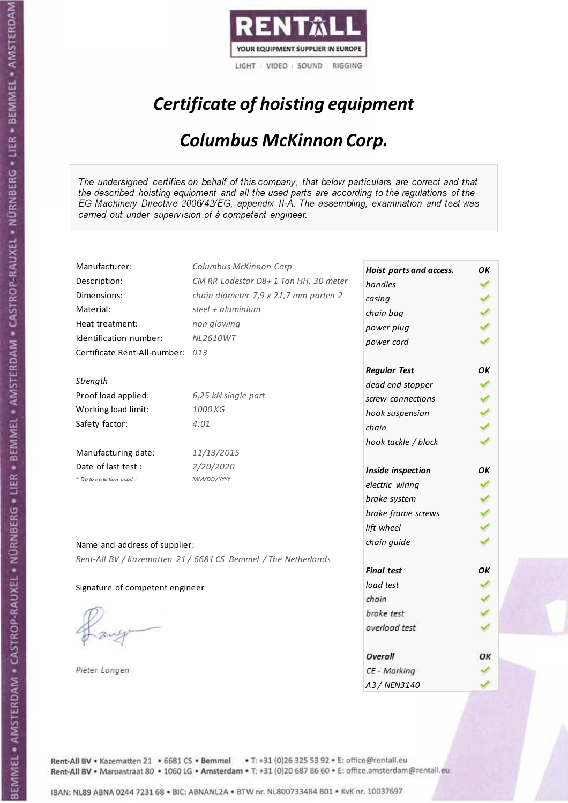

# Certificate of hoisting equipment

#### Columbus McKinnon Corp.

The undersigned certifies on behalf of this company, that below particulars are correct and that the described hoisting equipment and all the used parts are according to the regulations of the EG Machinery Directive 2006/42/EG, appendix II-A. The assembling, examination and test was carried out under supervision of à competent engineer.

| Manufacturer:                    | Columbus McKinnon Corp.                                        | Hoist parts and access. | OΚ |
|----------------------------------|----------------------------------------------------------------|-------------------------|----|
| Description:                     | CM RR Lodestar D8+1 Ton HH. 30 meter                           | handles                 | ✓  |
| Dimensions:                      | chain diameter 7,9 x 21,7 mm parten 2                          | casing                  |    |
| Material:                        | steel + aluminium                                              | chain bag               |    |
| Heat treatment:                  | non glowing                                                    | power plug              |    |
| Identification number:           | <b>NL2610WT</b>                                                | power cord              |    |
| Certificate Rent-All-number: 013 |                                                                |                         |    |
|                                  |                                                                | <b>Regular Test</b>     | ΟK |
| Strength                         |                                                                | dead end stopper        |    |
| Proof load applied:              | 6,25 kN single part                                            | screw connections       |    |
| Working load limit:              | 1000 KG                                                        | hook suspension         |    |
| Safety factor:                   | 4:01                                                           | chain                   |    |
|                                  |                                                                | hook tackle / block     |    |
| Manufacturing date:              | 11/13/2015                                                     |                         |    |
| Date of last test :              | 2/20/2020                                                      | Inside inspection       | ΟK |
| + Date notation used :           | MM/DD/YYYY                                                     | electric wiring         |    |
|                                  |                                                                | brake system            |    |
|                                  |                                                                | brake frame screws      |    |
|                                  |                                                                | lift wheel              |    |
| Name and address of supplier:    |                                                                | chain guide             |    |
|                                  | Rent-All BV / Kazematten 21 / 6681 CS Bemmel / The Netherlands |                         |    |
|                                  |                                                                | <b>Final test</b>       | ОΚ |
| Signature of competent engineer  |                                                                | load test               |    |
|                                  |                                                                | chain                   |    |
|                                  |                                                                | brake test              |    |
|                                  |                                                                | overload test           |    |
|                                  |                                                                | Overall                 | ОК |
| Pieter Langen                    |                                                                | CE - Marking            |    |
|                                  |                                                                | A3 / NEN3140            |    |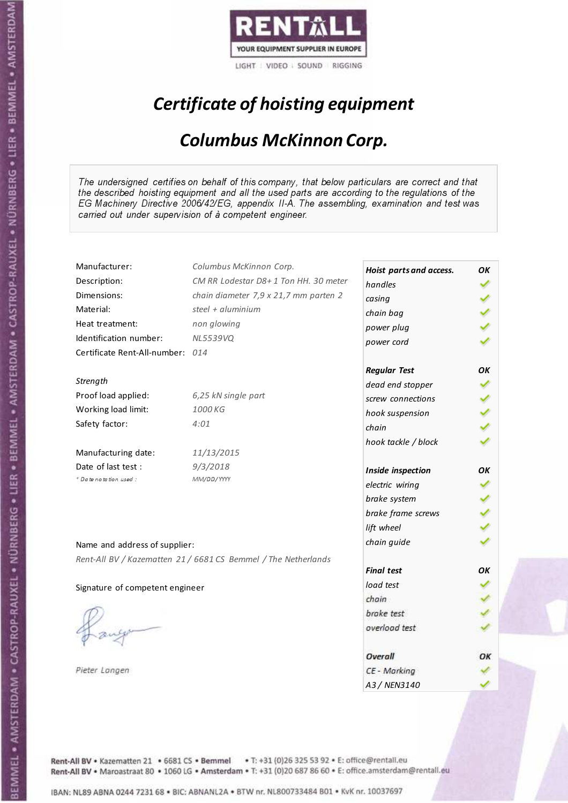

# Certificate of hoisting equipment

#### Columbus McKinnon Corp.

The undersigned certifies on behalf of this company, that below particulars are correct and that the described hoisting equipment and all the used parts are according to the regulations of the EG Machinery Directive 2006/42/EG, appendix II-A. The assembling, examination and test was carried out under supervision of à competent engineer.

| Manufacturer:                    | Columbus McKinnon Corp.                                        | Hoist parts and access. | OΚ |
|----------------------------------|----------------------------------------------------------------|-------------------------|----|
| Description:                     | CM RR Lodestar D8+1 Ton HH. 30 meter                           | handles                 | ✔  |
| Dimensions:                      | chain diameter 7,9 x 21,7 mm parten 2                          | casing                  |    |
| Material:                        | steel + aluminium                                              | chain bag               |    |
| Heat treatment:                  | non glowing                                                    | power plug              |    |
| Identification number:           | <b>NL5539VQ</b>                                                | power cord              |    |
| Certificate Rent-All-number: 014 |                                                                |                         |    |
|                                  |                                                                | <b>Regular Test</b>     | OΚ |
| Strength                         |                                                                | dead end stopper        |    |
| Proof load applied:              | 6,25 kN single part                                            | screw connections       |    |
| Working load limit:              | 1000 KG                                                        | hook suspension         |    |
| Safety factor:                   | 4:01                                                           | chain                   |    |
|                                  |                                                                | hook tackle / block     |    |
| Manufacturing date:              | 11/13/2015                                                     |                         |    |
| Date of last test :              | 9/3/2018                                                       | Inside inspection       | ΟK |
| * Date notation used :           | MM/DD/YYYY                                                     | electric wiring         |    |
|                                  |                                                                | brake system            |    |
|                                  |                                                                | brake frame screws      |    |
|                                  |                                                                | lift wheel              |    |
| Name and address of supplier:    |                                                                | chain guide             |    |
|                                  | Rent-All BV / Kazematten 21 / 6681 CS Bemmel / The Netherlands |                         |    |
|                                  |                                                                | <b>Final test</b>       | ΟK |
| Signature of competent engineer  |                                                                | load test               |    |
|                                  |                                                                | chain                   |    |
|                                  |                                                                | brake test              |    |
|                                  |                                                                | overload test           |    |
|                                  |                                                                | Overall                 | ОК |
| Pieter Langen                    |                                                                | CE - Marking            |    |
|                                  |                                                                | A3 / NEN3140            |    |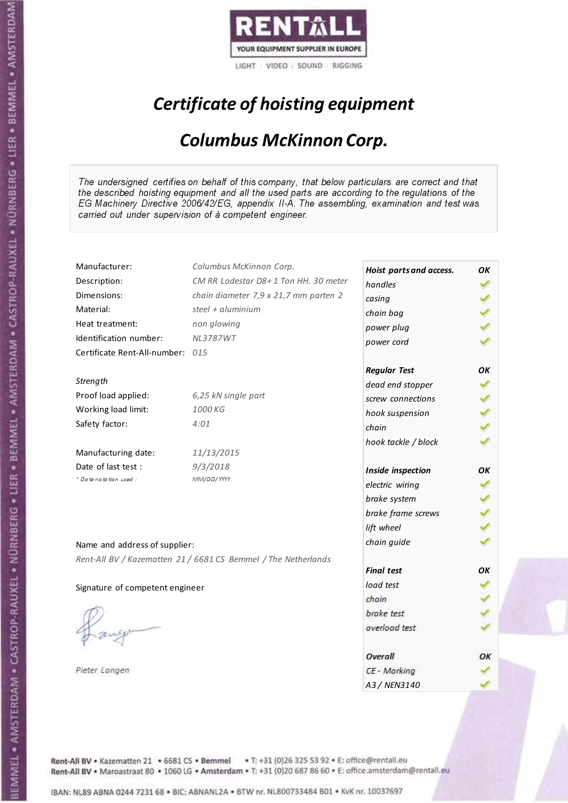

# Certificate of hoisting equipment

#### Columbus McKinnon Corp.

The undersigned certifies on behalf of this company, that below particulars are correct and that the described hoisting equipment and all the used parts are according to the regulations of the EG Machinery Directive 2006/42/EG, appendix II-A. The assembling, examination and test was carried out under supervision of à competent engineer.

| Manufacturer:                    | Columbus McKinnon Corp.                                        | Hoist parts and access. | OΚ |
|----------------------------------|----------------------------------------------------------------|-------------------------|----|
| Description:                     | CM RR Lodestar D8+1 Ton HH. 30 meter                           | handles                 | ✔  |
| Dimensions:                      | chain diameter 7,9 x 21,7 mm parten 2                          | casing                  |    |
| Material:                        | steel + aluminium                                              | chain bag               |    |
| Heat treatment:                  | non glowing                                                    | power plug              |    |
| Identification number:           | <b>NL3787WT</b>                                                | power cord              |    |
| Certificate Rent-All-number: 015 |                                                                |                         |    |
|                                  |                                                                | <b>Regular Test</b>     | ΟK |
| Strength                         |                                                                | dead end stopper        |    |
| Proof load applied:              | 6,25 kN single part                                            | screw connections       |    |
| Working load limit:              | 1000 KG                                                        | hook suspension         | ✔  |
| Safety factor:                   | 4:01                                                           | chain                   |    |
|                                  |                                                                | hook tackle / block     |    |
| Manufacturing date:              | 11/13/2015                                                     |                         |    |
| Date of last test :              | 9/3/2018                                                       | Inside inspection       | ΟK |
| * Date notation used :           | MM/DD/YYYY                                                     | electric wiring         |    |
|                                  |                                                                | brake system            |    |
|                                  |                                                                | brake frame screws      |    |
|                                  |                                                                | lift wheel              |    |
| Name and address of supplier:    |                                                                | chain guide             |    |
|                                  | Rent-All BV / Kazematten 21 / 6681 CS Bemmel / The Netherlands |                         |    |
|                                  |                                                                | <b>Final test</b>       | ОΚ |
| Signature of competent engineer  |                                                                | load test               |    |
|                                  |                                                                | chain                   |    |
|                                  |                                                                | brake test              |    |
|                                  |                                                                | overload test           |    |
|                                  |                                                                | Overall                 | ОК |
| Pieter Langen                    |                                                                | CE - Marking            |    |
|                                  |                                                                | A3 / NEN3140            |    |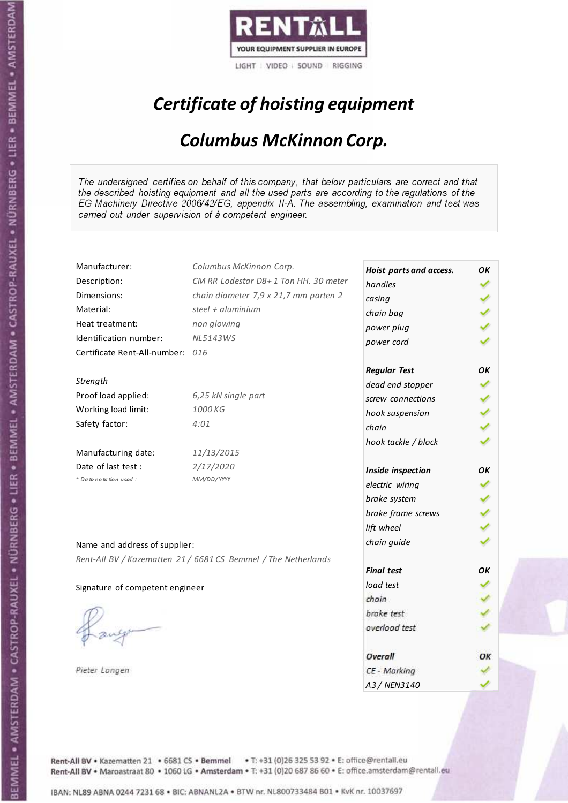

# Certificate of hoisting equipment

#### Columbus McKinnon Corp.

The undersigned certifies on behalf of this company, that below particulars are correct and that the described hoisting equipment and all the used parts are according to the regulations of the EG Machinery Directive 2006/42/EG, appendix II-A. The assembling, examination and test was carried out under supervision of à competent engineer.

| Manufacturer:                    | Columbus McKinnon Corp.                                        | Hoist parts and access. | OΚ |
|----------------------------------|----------------------------------------------------------------|-------------------------|----|
| Description:                     | CM RR Lodestar D8+1 Ton HH. 30 meter                           | handles                 | ✓  |
| Dimensions:                      | chain diameter 7,9 x 21,7 mm parten 2                          | casing                  |    |
| Material:                        | steel + $\alpha$ luminium                                      | chain bag               |    |
| Heat treatment:                  | non glowing                                                    | power plug              |    |
| Identification number:           | <b>NL5143WS</b>                                                | power cord              |    |
| Certificate Rent-All-number: 016 |                                                                |                         |    |
|                                  |                                                                | <b>Regular Test</b>     | ОΚ |
| Strength                         |                                                                | dead end stopper        |    |
| Proof load applied:              | 6,25 kN single part                                            | screw connections       |    |
| Working load limit:              | 1000 KG                                                        | hook suspension         | ✔  |
| Safety factor:                   | 4:01                                                           | chain                   |    |
|                                  |                                                                | hook tackle / block     |    |
| Manufacturing date:              | 11/13/2015                                                     |                         |    |
| Date of last test :              | 2/17/2020                                                      | Inside inspection       | ОΚ |
| * Date notation used :           | MM/DD/YYYY                                                     | electric wiring         |    |
|                                  |                                                                | brake system            |    |
|                                  |                                                                | brake frame screws      |    |
|                                  |                                                                | lift wheel              |    |
| Name and address of supplier:    |                                                                | chain guide             |    |
|                                  | Rent-All BV / Kazematten 21 / 6681 CS Bemmel / The Netherlands |                         |    |
|                                  |                                                                | <b>Final test</b>       | ΟK |
| Signature of competent engineer  |                                                                | load test               |    |
|                                  |                                                                | chain                   |    |
|                                  |                                                                | brake test              |    |
|                                  |                                                                | overload test           |    |
|                                  |                                                                | Overall                 | ОК |
| Pieter Langen                    |                                                                | CE - Marking            |    |
|                                  |                                                                | A3 / NEN3140            |    |

Rent-All BV . Kazematten 21 . 6681 CS . Bemmel . T: +31 (0)26 325 53 92 . E: office@rentall.eu Rent-All BV · Maroastraat 80 · 1060 LG · Amsterdam · T: +31 (0)20 687 86 60 · E: office.amsterdam@rentall.eu

IBAN: NL89 ABNA 0244 7231 68 . BIC: ABNANL2A . BTW nr. NL800733484 B01 . KvK nr. 10037697

Pie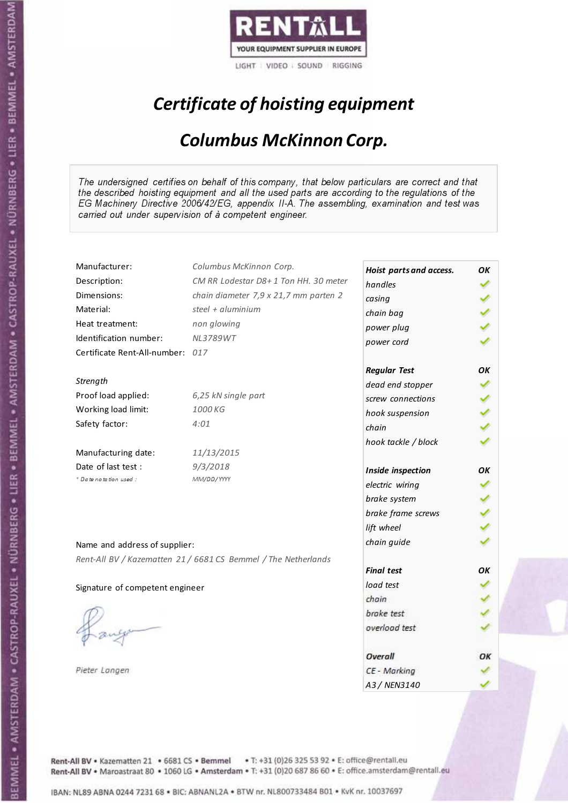

# Certificate of hoisting equipment

#### Columbus McKinnon Corp.

The undersigned certifies on behalf of this company, that below particulars are correct and that the described hoisting equipment and all the used parts are according to the regulations of the EG Machinery Directive 2006/42/EG, appendix II-A. The assembling, examination and test was carried out under supervision of à competent engineer.

| Manufacturer:                    | Columbus McKinnon Corp.                                        | Hoist parts and access. | OΚ |
|----------------------------------|----------------------------------------------------------------|-------------------------|----|
| Description:                     | CM RR Lodestar D8+1 Ton HH. 30 meter                           | handles                 | ✓  |
| Dimensions:                      | chain diameter 7,9 x 21,7 mm parten 2                          | casing                  |    |
| Material:                        | steel + $\alpha$ luminium                                      | chain bag               |    |
| Heat treatment:                  | non glowing                                                    | power plug              |    |
| Identification number:           | <b>NL3789WT</b>                                                | power cord              |    |
| Certificate Rent-All-number: 017 |                                                                |                         |    |
|                                  |                                                                | <b>Regular Test</b>     | ОΚ |
| Strength                         |                                                                | dead end stopper        |    |
| Proof load applied:              | 6,25 kN single part                                            | screw connections       |    |
| Working load limit:              | 1000 KG                                                        | hook suspension         | ✔  |
| Safety factor:                   | 4:01                                                           | chain                   |    |
|                                  |                                                                | hook tackle / block     |    |
| Manufacturing date:              | 11/13/2015                                                     |                         |    |
| Date of last test :              | 9/3/2018                                                       | Inside inspection       | ОΚ |
| * Date notation used :           | MM/DD/YYYY                                                     | electric wiring         |    |
|                                  |                                                                | brake system            |    |
|                                  |                                                                | brake frame screws      |    |
|                                  |                                                                | lift wheel              |    |
| Name and address of supplier:    |                                                                | chain guide             |    |
|                                  | Rent-All BV / Kazematten 21 / 6681 CS Bemmel / The Netherlands |                         |    |
|                                  |                                                                | <b>Final test</b>       | ΟK |
| Signature of competent engineer  |                                                                | load test               |    |
|                                  |                                                                | chain                   |    |
|                                  |                                                                | brake test              |    |
|                                  |                                                                | overload test           |    |
|                                  |                                                                | Overall                 | ОК |
| Pieter Langen                    |                                                                | CE - Marking            |    |
|                                  |                                                                | A3 / NEN3140            |    |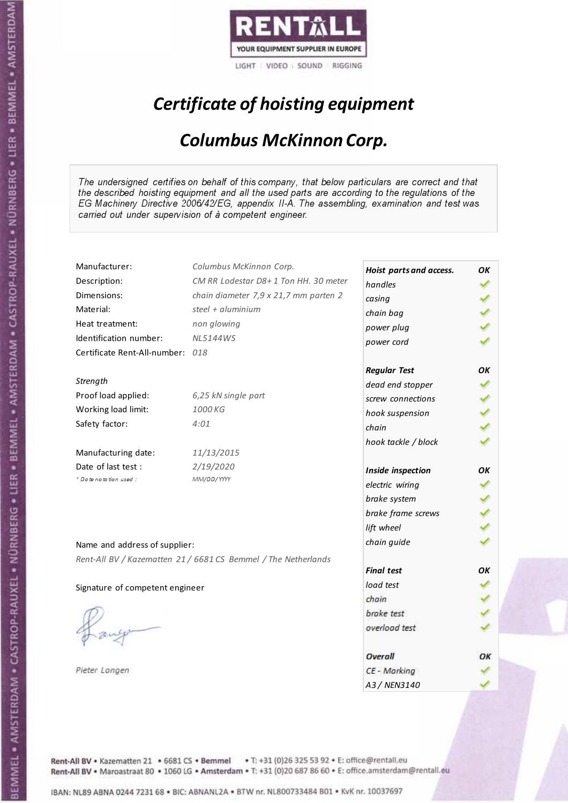

# Certificate of hoisting equipment

#### Columbus McKinnon Corp.

The undersigned certifies on behalf of this company, that below particulars are correct and that the described hoisting equipment and all the used parts are according to the regulations of the EG Machinery Directive 2006/42/EG, appendix II-A. The assembling, examination and test was carried out under supervision of à competent engineer.

| Manufacturer:                    | Columbus McKinnon Corp.                                        | Hoist parts and access. | OΚ |
|----------------------------------|----------------------------------------------------------------|-------------------------|----|
| Description:                     | CM RR Lodestar D8+1 Ton HH. 30 meter                           | handles                 | ✓  |
| Dimensions:                      | chain diameter 7,9 x 21,7 mm parten 2                          | casing                  |    |
| Material:                        | steel + $\alpha$ luminium                                      | chain bag               |    |
| Heat treatment:                  | non glowing                                                    | power plug              |    |
| Identification number:           | <b>NL5144WS</b>                                                | power cord              |    |
| Certificate Rent-All-number: 018 |                                                                |                         |    |
|                                  |                                                                | <b>Regular Test</b>     | ОΚ |
| Strength                         |                                                                | dead end stopper        |    |
| Proof load applied:              | 6,25 kN single part                                            | screw connections       |    |
| Working load limit:              | 1000 KG                                                        | hook suspension         | ✔  |
| Safety factor:                   | 4:01                                                           | chain                   |    |
|                                  |                                                                | hook tackle / block     |    |
| Manufacturing date:              | 11/13/2015                                                     |                         |    |
| Date of last test :              | 2/19/2020                                                      | Inside inspection       | ОΚ |
| * Date notation used :           | MM/DD/YYYY                                                     | electric wiring         |    |
|                                  |                                                                | brake system            |    |
|                                  |                                                                | brake frame screws      |    |
|                                  |                                                                | lift wheel              |    |
| Name and address of supplier:    |                                                                | chain guide             |    |
|                                  | Rent-All BV / Kazematten 21 / 6681 CS Bemmel / The Netherlands |                         |    |
|                                  |                                                                | <b>Final test</b>       | ΟK |
| Signature of competent engineer  |                                                                | load test               |    |
|                                  |                                                                | chain                   |    |
|                                  |                                                                | brake test              |    |
|                                  |                                                                | overload test           |    |
|                                  |                                                                | Overall                 | ОК |
| Pieter Langen                    |                                                                | CE - Marking            |    |
|                                  |                                                                | A3 / NEN3140            |    |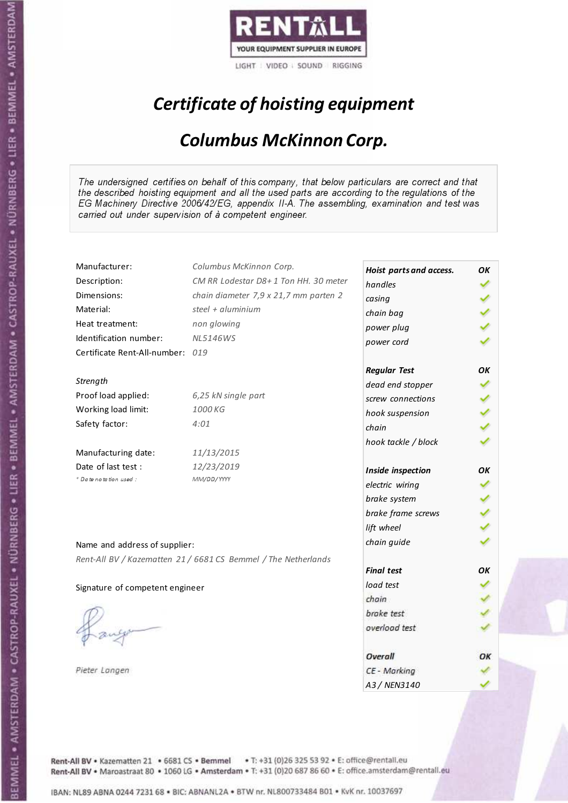

# Certificate of hoisting equipment

#### Columbus McKinnon Corp.

The undersigned certifies on behalf of this company, that below particulars are correct and that the described hoisting equipment and all the used parts are according to the regulations of the EG Machinery Directive 2006/42/EG, appendix II-A. The assembling, examination and test was carried out under supervision of à competent engineer.

| Manufacturer:                    | Columbus McKinnon Corp.                                        | Hoist parts and access. | ОΚ |
|----------------------------------|----------------------------------------------------------------|-------------------------|----|
| Description:                     | CM RR Lodestar D8+1 Ton HH. 30 meter                           | handles                 | ✓  |
| Dimensions:                      | chain diameter 7,9 x 21,7 mm parten 2                          | casing                  |    |
| Material:                        | steel + aluminium                                              | chain bag               |    |
| Heat treatment:                  | non glowing                                                    | power plug              |    |
| Identification number:           | <b>NL5146WS</b>                                                | power cord              |    |
| Certificate Rent-All-number: 019 |                                                                |                         |    |
|                                  |                                                                | <b>Regular Test</b>     | ΟK |
| Strength                         |                                                                | dead end stopper        |    |
| Proof load applied:              | 6,25 kN single part                                            | screw connections       |    |
| Working load limit:              | 1000 KG                                                        | hook suspension         | ✔  |
| Safety factor:                   | 4:01                                                           | chain                   |    |
|                                  |                                                                | hook tackle / block     |    |
| Manufacturing date:              | 11/13/2015                                                     |                         |    |
| Date of last test :              | 12/23/2019                                                     | Inside inspection       | ОК |
| * Date notation used :           | MM/DD/YYYY                                                     | electric wiring         |    |
|                                  |                                                                | brake system            |    |
|                                  |                                                                | brake frame screws      |    |
|                                  |                                                                | lift wheel              |    |
| Name and address of supplier:    |                                                                | chain guide             |    |
|                                  | Rent-All BV / Kazematten 21 / 6681 CS Bemmel / The Netherlands |                         |    |
|                                  |                                                                | <b>Final test</b>       | ΟK |
| Signature of competent engineer  |                                                                | load test               |    |
|                                  |                                                                | chain                   |    |
|                                  |                                                                | brake test              |    |
|                                  |                                                                | overload test           |    |
|                                  |                                                                | Overall                 | ОК |
| Pieter Langen                    |                                                                | CE - Marking            |    |
|                                  |                                                                | A3 / NEN3140            |    |

Rent-All BV . Kazematten 21 . 6681 CS . Bemmel . T: +31 (0)26 325 53 92 . E: office@rentall.eu Rent-All BV · Maroastraat 80 · 1060 LG · Amsterdam · T: +31 (0)20 687 86 60 · E: office.amsterdam@rentall.eu

IBAN: NL89 ABNA 0244 7231 68 . BIC: ABNANL2A . BTW nr. NL800733484 B01 . KvK nr. 10037697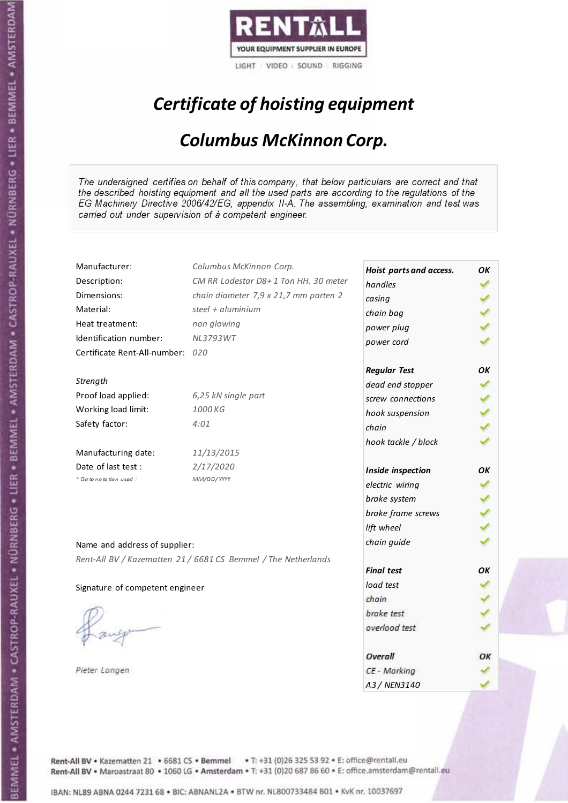

# Certificate of hoisting equipment

#### Columbus McKinnon Corp.

The undersigned certifies on behalf of this company, that below particulars are correct and that the described hoisting equipment and all the used parts are according to the regulations of the EG Machinery Directive 2006/42/EG, appendix II-A. The assembling, examination and test was carried out under supervision of à competent engineer.

| Manufacturer:                    | Columbus McKinnon Corp.                                        | Hoist parts and access. | OΚ |
|----------------------------------|----------------------------------------------------------------|-------------------------|----|
| Description:                     | CM RR Lodestar D8+1 Ton HH. 30 meter                           | handles                 | ✓  |
| Dimensions:                      | chain diameter 7,9 x 21,7 mm parten 2                          | casing                  |    |
| Material:                        | steel + aluminium                                              | chain bag               |    |
| Heat treatment:                  | non glowing                                                    | power plug              |    |
| Identification number:           | <b>NL3793WT</b>                                                | power cord              |    |
| Certificate Rent-All-number: 020 |                                                                |                         |    |
|                                  |                                                                | <b>Regular Test</b>     | ΟK |
| Strength                         |                                                                | dead end stopper        |    |
| Proof load applied:              | 6,25 kN single part                                            | screw connections       |    |
| Working load limit:              | 1000 KG                                                        | hook suspension         | ✔  |
| Safety factor:                   | 4:01                                                           | chain                   |    |
|                                  |                                                                | hook tackle / block     |    |
| Manufacturing date:              | 11/13/2015                                                     |                         |    |
| Date of last test :              | 2/17/2020                                                      | Inside inspection       | ОΚ |
| + Date notation used:            | MM/DD/YYYY                                                     | electric wiring         |    |
|                                  |                                                                | brake system            |    |
|                                  |                                                                | brake frame screws      |    |
|                                  |                                                                | lift wheel              |    |
| Name and address of supplier:    |                                                                | chain guide             |    |
|                                  | Rent-All BV / Kazematten 21 / 6681 CS Bemmel / The Netherlands |                         |    |
|                                  |                                                                | <b>Final test</b>       | OK |
| Signature of competent engineer  |                                                                | load test               |    |
|                                  |                                                                | chain                   |    |
|                                  |                                                                | brake test              |    |
|                                  |                                                                | overload test           |    |
|                                  |                                                                | Overall                 | ОК |
| Pieter Langen                    |                                                                | CE - Marking            |    |
|                                  |                                                                | A3 / NEN3140            |    |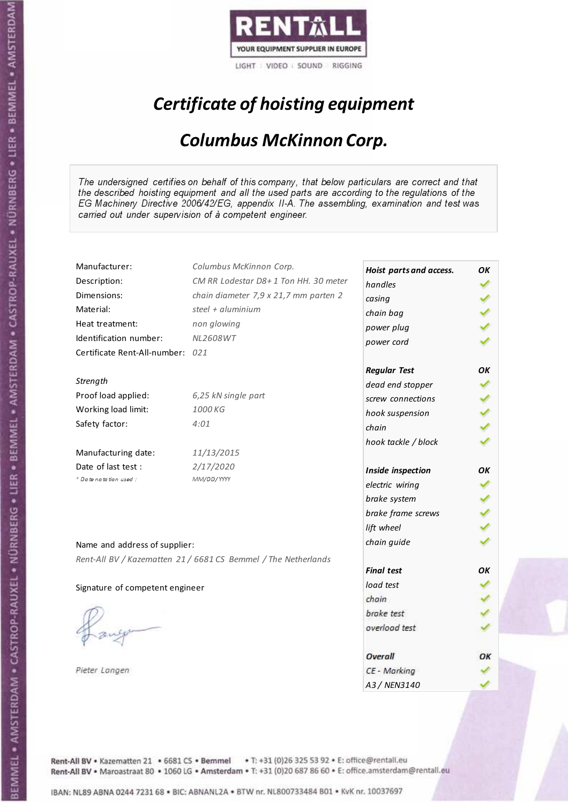

# Certificate of hoisting equipment

#### Columbus McKinnon Corp.

The undersigned certifies on behalf of this company, that below particulars are correct and that the described hoisting equipment and all the used parts are according to the regulations of the EG Machinery Directive 2006/42/EG, appendix II-A. The assembling, examination and test was carried out under supervision of à competent engineer.

| Manufacturer:                    | Columbus McKinnon Corp.                                        | Hoist parts and access. | OΚ |
|----------------------------------|----------------------------------------------------------------|-------------------------|----|
| Description:                     | CM RR Lodestar D8+1 Ton HH. 30 meter                           | handles                 | ✓  |
| Dimensions:                      | chain diameter 7,9 x 21,7 mm parten 2                          | casing                  |    |
| Material:                        | steel + aluminium                                              | chain bag               |    |
| Heat treatment:                  | non glowing                                                    | power plug              |    |
| Identification number:           | <b>NL2608WT</b>                                                | power cord              |    |
| Certificate Rent-All-number: 021 |                                                                |                         |    |
|                                  |                                                                | <b>Regular Test</b>     | ОΚ |
| Strength                         |                                                                | dead end stopper        |    |
| Proof load applied:              | 6,25 kN single part                                            | screw connections       |    |
| Working load limit:              | 1000 KG                                                        | hook suspension         |    |
| Safety factor:                   | 4:01                                                           | chain                   |    |
|                                  |                                                                | hook tackle / block     |    |
| Manufacturing date:              | 11/13/2015                                                     |                         |    |
| Date of last test :              | 2/17/2020                                                      | Inside inspection       | ΟK |
| + Date notation used :           | MM/DD/YYYY                                                     | electric wiring         |    |
|                                  |                                                                | brake system            |    |
|                                  |                                                                | brake frame screws      |    |
|                                  |                                                                | lift wheel              |    |
| Name and address of supplier:    |                                                                | chain guide             |    |
|                                  | Rent-All BV / Kazematten 21 / 6681 CS Bemmel / The Netherlands |                         |    |
|                                  |                                                                | <b>Final test</b>       | ОΚ |
| Signature of competent engineer  |                                                                | load test               |    |
|                                  |                                                                | chain                   |    |
|                                  |                                                                | brake test              |    |
|                                  |                                                                | overload test           |    |
|                                  |                                                                | Overall                 | ОК |
| Pieter Langen                    |                                                                | CE - Marking            |    |
|                                  |                                                                | A3 / NEN3140            |    |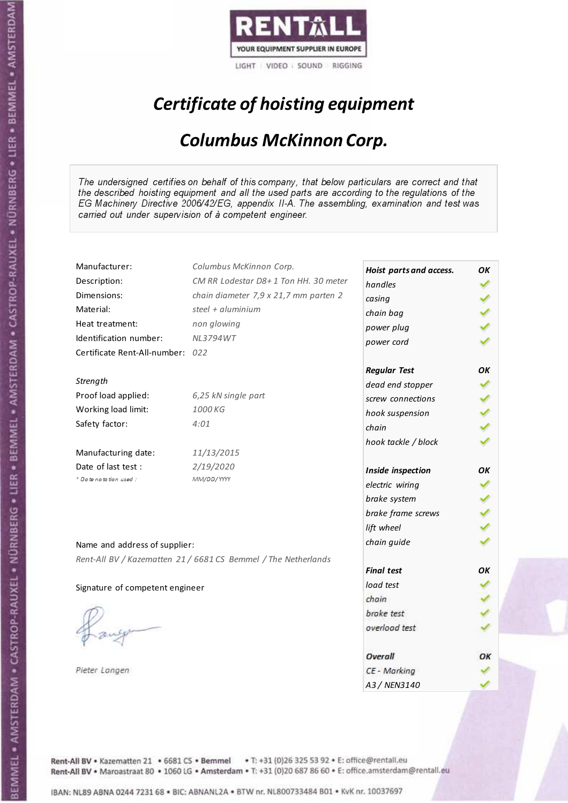

# Certificate of hoisting equipment

#### Columbus McKinnon Corp.

The undersigned certifies on behalf of this company, that below particulars are correct and that the described hoisting equipment and all the used parts are according to the regulations of the EG Machinery Directive 2006/42/EG, appendix II-A. The assembling, examination and test was carried out under supervision of à competent engineer.

| Manufacturer:                    | Columbus McKinnon Corp.                                        | Hoist parts and access. | OΚ |
|----------------------------------|----------------------------------------------------------------|-------------------------|----|
| Description:                     | CM RR Lodestar D8+1 Ton HH. 30 meter                           | handles                 | ✓  |
| Dimensions:                      | chain diameter 7,9 x 21,7 mm parten 2                          | casing                  |    |
| Material:                        | steel + aluminium                                              | chain bag               |    |
| Heat treatment:                  | non glowing                                                    | power plug              |    |
| Identification number:           | <b>NL3794WT</b>                                                | power cord              |    |
| Certificate Rent-All-number: 022 |                                                                |                         |    |
|                                  |                                                                | <b>Regular Test</b>     | ОΚ |
| Strength                         |                                                                | dead end stopper        |    |
| Proof load applied:              | 6,25 kN single part                                            | screw connections       |    |
| Working load limit:              | 1000 KG                                                        | hook suspension         |    |
| Safety factor:                   | 4:01                                                           | chain                   |    |
|                                  |                                                                | hook tackle / block     |    |
| Manufacturing date:              | 11/13/2015                                                     |                         |    |
| Date of last test :              | 2/19/2020                                                      | Inside inspection       | ΟK |
| + Date notation used :           | MM/DD/YYYY                                                     | electric wiring         |    |
|                                  |                                                                | brake system            |    |
|                                  |                                                                | brake frame screws      |    |
|                                  |                                                                | lift wheel              |    |
| Name and address of supplier:    |                                                                | chain guide             |    |
|                                  | Rent-All BV / Kazematten 21 / 6681 CS Bemmel / The Netherlands |                         |    |
|                                  |                                                                | <b>Final test</b>       | ОΚ |
| Signature of competent engineer  |                                                                | load test               |    |
|                                  |                                                                | chain                   |    |
|                                  |                                                                | brake test              |    |
|                                  |                                                                | overload test           |    |
|                                  |                                                                | Overall                 | ОК |
| Pieter Langen                    |                                                                | CE - Marking            |    |
|                                  |                                                                | A3 / NEN3140            |    |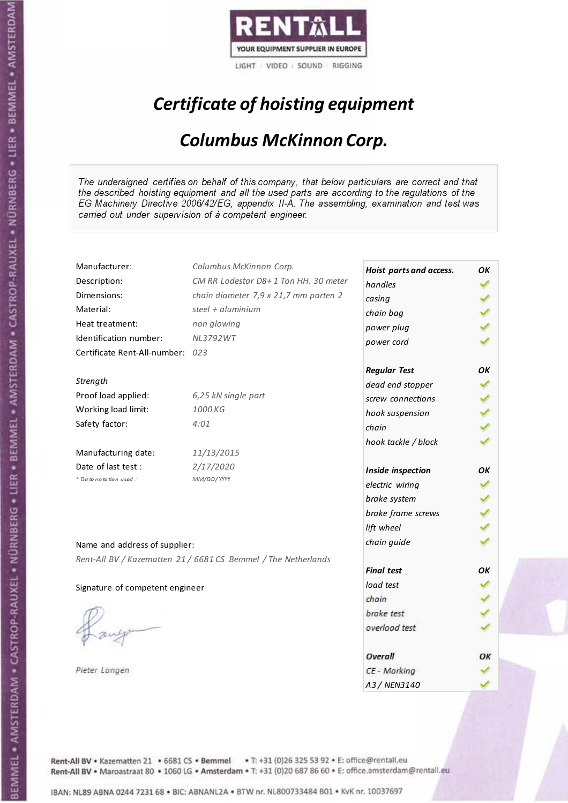

# Certificate of hoisting equipment

#### Columbus McKinnon Corp.

The undersigned certifies on behalf of this company, that below particulars are correct and that the described hoisting equipment and all the used parts are according to the regulations of the EG Machinery Directive 2006/42/EG, appendix II-A. The assembling, examination and test was carried out under supervision of à competent engineer.

| Manufacturer:                    | Columbus McKinnon Corp.                                        | Hoist parts and access. | OΚ |
|----------------------------------|----------------------------------------------------------------|-------------------------|----|
| Description:                     | CM RR Lodestar D8+1 Ton HH. 30 meter                           | handles                 | ✓  |
| Dimensions:                      | chain diameter 7,9 x 21,7 mm parten 2                          | casing                  |    |
| Material:                        | steel + aluminium                                              | chain bag               |    |
| Heat treatment:                  | non glowing                                                    | power plug              |    |
| Identification number:           | <b>NL3792WT</b>                                                | power cord              |    |
| Certificate Rent-All-number: 023 |                                                                |                         |    |
|                                  |                                                                | <b>Regular Test</b>     | ΟK |
| Strength                         |                                                                | dead end stopper        |    |
| Proof load applied:              | 6,25 kN single part                                            | screw connections       |    |
| Working load limit:              | 1000 KG                                                        | hook suspension         | ✔  |
| Safety factor:                   | 4:01                                                           | chain                   |    |
|                                  |                                                                | hook tackle / block     |    |
| Manufacturing date:              | 11/13/2015                                                     |                         |    |
| Date of last test :              | 2/17/2020                                                      | Inside inspection       | ОΚ |
| + Date notation used:            | MM/DD/YYYY                                                     | electric wiring         |    |
|                                  |                                                                | brake system            |    |
|                                  |                                                                | brake frame screws      |    |
|                                  |                                                                | lift wheel              |    |
| Name and address of supplier:    |                                                                | chain guide             |    |
|                                  | Rent-All BV / Kazematten 21 / 6681 CS Bemmel / The Netherlands |                         |    |
|                                  |                                                                | <b>Final test</b>       | OK |
| Signature of competent engineer  |                                                                | load test               |    |
|                                  |                                                                | chain                   |    |
|                                  |                                                                | brake test              |    |
|                                  |                                                                | overload test           |    |
|                                  |                                                                | Overall                 | ОК |
| Pieter Langen                    |                                                                | CE - Marking            |    |
|                                  |                                                                | A3 / NEN3140            |    |